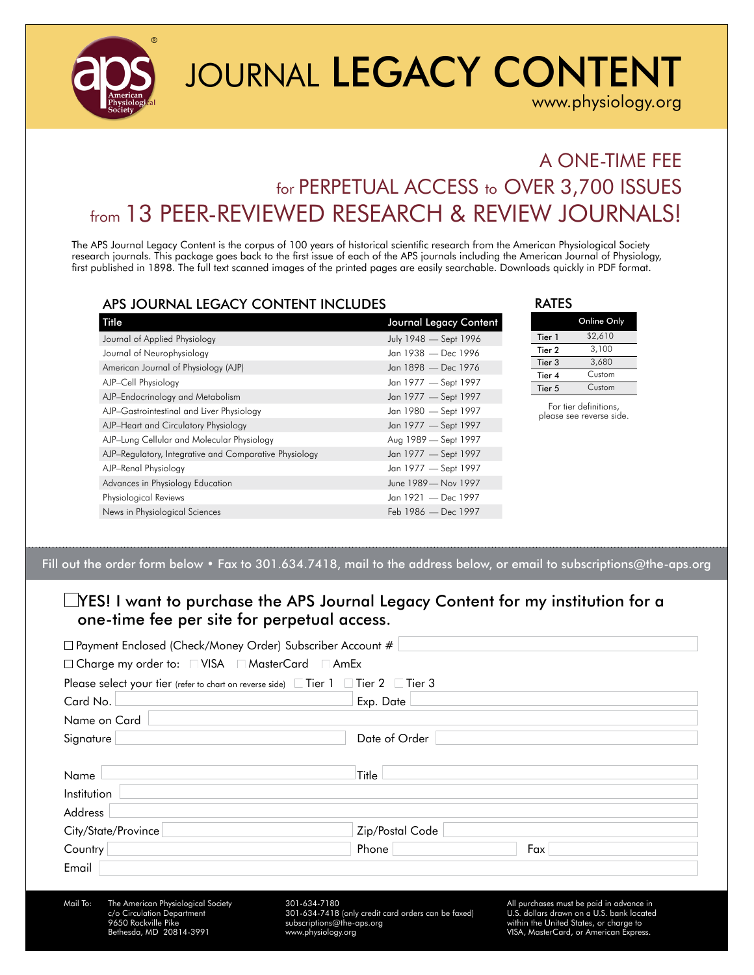

# JOURNAL LEGACY CONTENT

[www.physiology.org](http://www.physiology.org)

### A ONE-TIME FEE for PERPETUAL ACCESS to OVER 3,700 ISSUES from 13 PEER-REVIEWED RESEARCH & REVIEW JOURNALS!

The APS Journal Legacy Content is the corpus of 100 years of historical scientific research from the American Physiological Society research journals. This package goes back to the first issue of each of the APS journals including the American Journal of Physiology, first published in 1898. The full text scanned images of the printed pages are easily searchable. Downloads quickly in PDF format.

#### APS JOURNAL LEGACY CONTENT INCLUDES

| Title                                                  | Journal Legacy Content |
|--------------------------------------------------------|------------------------|
| Journal of Applied Physiology                          | July 1948 - Sept 1996  |
| Journal of Neurophysiology                             | Jan 1938 - Dec 1996    |
| American Journal of Physiology (AJP)                   | Jan 1898 — Dec 1976    |
| AJP-Cell Physiology                                    | Jan 1977 - Sept 1997   |
| AJP-Endocrinology and Metabolism                       | Jan 1977 - Sept 1997   |
| AJP-Gastrointestinal and Liver Physiology              | Jan 1980 - Sept 1997   |
| AJP-Heart and Circulatory Physiology                   | Jan 1977 - Sept 1997   |
| AJP-Lung Cellular and Molecular Physiology             | Aug 1989 - Sept 1997   |
| AJP-Regulatory, Integrative and Comparative Physiology | Jan 1977 - Sept 1997   |
| AJP-Renal Physiology                                   | Jan 1977 - Sept 1997   |
| Advances in Physiology Education                       | June 1989 - Nov 1997   |
| Physiological Reviews                                  | Jan 1921 - Dec 1997    |
| News in Physiological Sciences                         | Feb 1986 — Dec 1997    |

| <b>RATES</b>      |             |
|-------------------|-------------|
|                   | Online Only |
| Tier 1            | \$2,610     |
| Tier 2            | 3,100       |
| Tier <sub>3</sub> | 3,680       |
| Tier 4            | Custom      |
| Tier 5            | Custom      |
|                   |             |

 $\overline{\phantom{a}}$ 

For tier definitions, please see reverse side.

Fill out the order form below • Fax to 301.634.7418, mail to the address below, or email to [subscriptions@the-aps.org](mailto:subscriptions%40the-aps.org?subject=)

#### YES! I want to purchase the APS Journal Legacy Content for my institution for a one-time fee per site for perpetual access.

| □ Payment Enclosed (Check/Money Order) Subscriber Account #                                                                    |                                                                                                                        |                                                                                                                                                                           |  |  |
|--------------------------------------------------------------------------------------------------------------------------------|------------------------------------------------------------------------------------------------------------------------|---------------------------------------------------------------------------------------------------------------------------------------------------------------------------|--|--|
| □ Charge my order to: □ VISA □ MasterCard □ AmEx                                                                               |                                                                                                                        |                                                                                                                                                                           |  |  |
| Please select your tier (refer to chart on reverse side) $\Box$ Tier 1 $\Box$ Tier 2 $\Box$ Tier 3                             |                                                                                                                        |                                                                                                                                                                           |  |  |
| Card No.                                                                                                                       | Exp. Date                                                                                                              |                                                                                                                                                                           |  |  |
| Name on Card                                                                                                                   |                                                                                                                        |                                                                                                                                                                           |  |  |
| Signature                                                                                                                      | Date of Order                                                                                                          |                                                                                                                                                                           |  |  |
|                                                                                                                                |                                                                                                                        |                                                                                                                                                                           |  |  |
| Name                                                                                                                           | Title                                                                                                                  |                                                                                                                                                                           |  |  |
| Institution                                                                                                                    |                                                                                                                        |                                                                                                                                                                           |  |  |
| <b>Address</b>                                                                                                                 |                                                                                                                        |                                                                                                                                                                           |  |  |
| City/State/Province                                                                                                            | Zip/Postal Code                                                                                                        |                                                                                                                                                                           |  |  |
| Country                                                                                                                        | Phone                                                                                                                  | Fax                                                                                                                                                                       |  |  |
| Email                                                                                                                          |                                                                                                                        |                                                                                                                                                                           |  |  |
|                                                                                                                                |                                                                                                                        |                                                                                                                                                                           |  |  |
| Mail To:<br>The American Physiological Society<br>c/o Circulation Department<br>9650 Rockville Pike<br>Bethesda, MD 20814-3991 | 301-634-7180<br>301-634-7418 (only credit card orders can be faxed)<br>subscriptions@the-aps.org<br>www.physiology.org | All purchases must be paid in advance in<br>U.S. dollars drawn on a U.S. bank located<br>within the United States, or charge to<br>VISA, MasterCard, or American Express. |  |  |